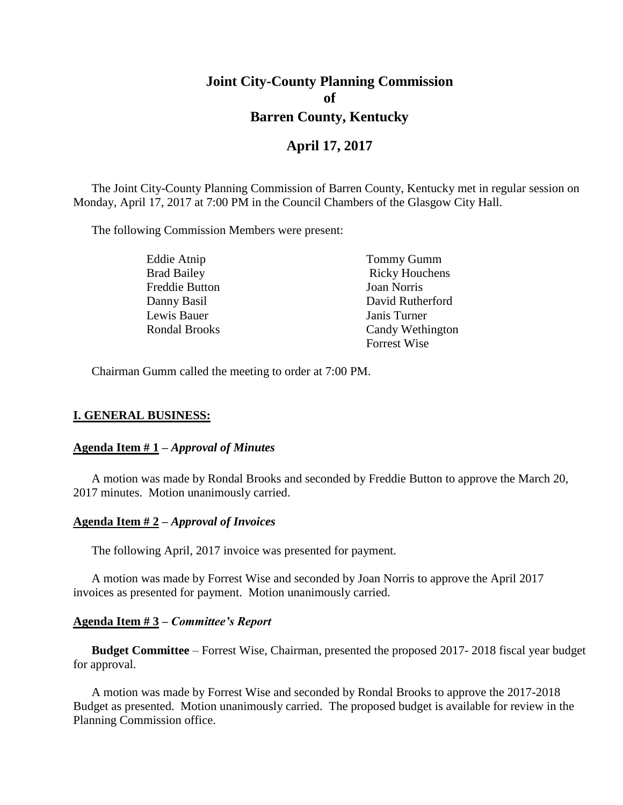# **Joint City-County Planning Commission of Barren County, Kentucky**

## **April 17, 2017**

The Joint City-County Planning Commission of Barren County, Kentucky met in regular session on Monday, April 17, 2017 at 7:00 PM in the Council Chambers of the Glasgow City Hall.

The following Commission Members were present:

| Eddie Atnip        | <b>Tommy Gumm</b>     |
|--------------------|-----------------------|
| <b>Brad Bailey</b> | <b>Ricky Houchens</b> |
| Freddie Button     | Joan Norris           |
| Danny Basil        | David Rutherford      |
| Lewis Bauer        | Janis Turner          |
| Rondal Brooks      | Candy Wethington      |
|                    | <b>Forrest Wise</b>   |

Chairman Gumm called the meeting to order at 7:00 PM.

#### **I. GENERAL BUSINESS:**

#### **Agenda Item # 1 –** *Approval of Minutes*

A motion was made by Rondal Brooks and seconded by Freddie Button to approve the March 20, 2017 minutes. Motion unanimously carried.

#### **Agenda Item # 2 –** *Approval of Invoices*

The following April, 2017 invoice was presented for payment.

A motion was made by Forrest Wise and seconded by Joan Norris to approve the April 2017 invoices as presented for payment. Motion unanimously carried.

#### **Agenda Item # 3 –** *Committee's Report*

**Budget Committee** – Forrest Wise, Chairman, presented the proposed 2017- 2018 fiscal year budget for approval.

A motion was made by Forrest Wise and seconded by Rondal Brooks to approve the 2017-2018 Budget as presented. Motion unanimously carried. The proposed budget is available for review in the Planning Commission office.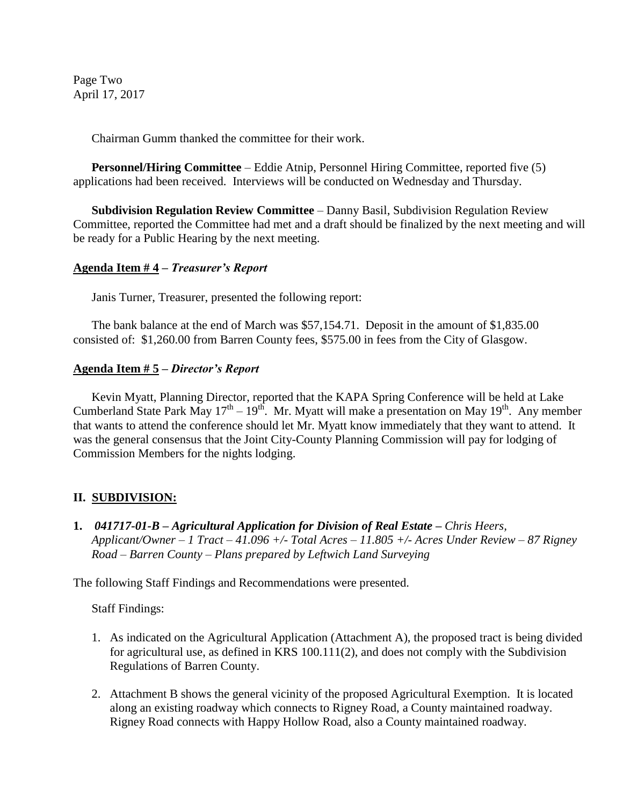Page Two April 17, 2017

Chairman Gumm thanked the committee for their work.

**Personnel/Hiring Committee** – Eddie Atnip, Personnel Hiring Committee, reported five (5) applications had been received. Interviews will be conducted on Wednesday and Thursday.

**Subdivision Regulation Review Committee** – Danny Basil, Subdivision Regulation Review Committee, reported the Committee had met and a draft should be finalized by the next meeting and will be ready for a Public Hearing by the next meeting.

## **Agenda Item # 4 –** *Treasurer's Report*

Janis Turner, Treasurer, presented the following report:

The bank balance at the end of March was \$57,154.71. Deposit in the amount of \$1,835.00 consisted of: \$1,260.00 from Barren County fees, \$575.00 in fees from the City of Glasgow.

## **Agenda Item # 5 –** *Director's Report*

Kevin Myatt, Planning Director, reported that the KAPA Spring Conference will be held at Lake Cumberland State Park May  $17^{th} - 19^{th}$ . Mr. Myatt will make a presentation on May  $19^{th}$ . Any member that wants to attend the conference should let Mr. Myatt know immediately that they want to attend. It was the general consensus that the Joint City-County Planning Commission will pay for lodging of Commission Members for the nights lodging.

## **II. SUBDIVISION:**

**1.** *041717-01-B – Agricultural Application for Division of Real Estate – Chris Heers, Applicant/Owner – 1 Tract – 41.096 +/- Total Acres – 11.805 +/- Acres Under Review – 87 Rigney Road – Barren County – Plans prepared by Leftwich Land Surveying*

The following Staff Findings and Recommendations were presented.

Staff Findings:

- 1. As indicated on the Agricultural Application (Attachment A), the proposed tract is being divided for agricultural use, as defined in KRS 100.111(2), and does not comply with the Subdivision Regulations of Barren County.
- 2. Attachment B shows the general vicinity of the proposed Agricultural Exemption. It is located along an existing roadway which connects to Rigney Road, a County maintained roadway. Rigney Road connects with Happy Hollow Road, also a County maintained roadway.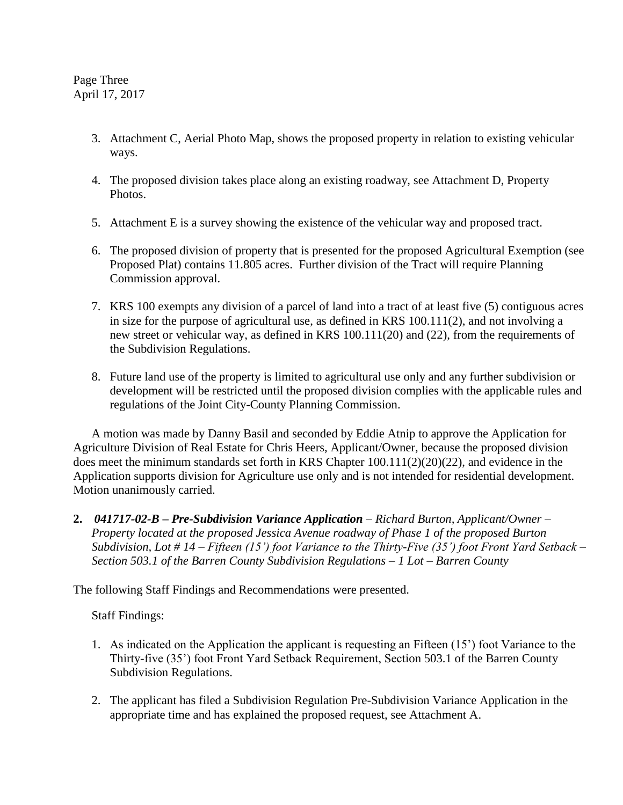Page Three April 17, 2017

- 3. Attachment C, Aerial Photo Map, shows the proposed property in relation to existing vehicular ways.
- 4. The proposed division takes place along an existing roadway, see Attachment D, Property Photos.
- 5. Attachment E is a survey showing the existence of the vehicular way and proposed tract.
- 6. The proposed division of property that is presented for the proposed Agricultural Exemption (see Proposed Plat) contains 11.805 acres. Further division of the Tract will require Planning Commission approval.
- 7. KRS 100 exempts any division of a parcel of land into a tract of at least five (5) contiguous acres in size for the purpose of agricultural use, as defined in KRS 100.111(2), and not involving a new street or vehicular way, as defined in KRS 100.111(20) and (22), from the requirements of the Subdivision Regulations.
- 8. Future land use of the property is limited to agricultural use only and any further subdivision or development will be restricted until the proposed division complies with the applicable rules and regulations of the Joint City-County Planning Commission.

A motion was made by Danny Basil and seconded by Eddie Atnip to approve the Application for Agriculture Division of Real Estate for Chris Heers, Applicant/Owner, because the proposed division does meet the minimum standards set forth in KRS Chapter 100.111(2)(20)(22), and evidence in the Application supports division for Agriculture use only and is not intended for residential development. Motion unanimously carried.

**2.** *041717-02-B – Pre-Subdivision Variance Application – Richard Burton, Applicant/Owner – Property located at the proposed Jessica Avenue roadway of Phase 1 of the proposed Burton Subdivision, Lot # 14 – Fifteen (15') foot Variance to the Thirty-Five (35') foot Front Yard Setback – Section 503.1 of the Barren County Subdivision Regulations – 1 Lot – Barren County*

The following Staff Findings and Recommendations were presented.

Staff Findings:

- 1. As indicated on the Application the applicant is requesting an Fifteen (15') foot Variance to the Thirty-five (35') foot Front Yard Setback Requirement, Section 503.1 of the Barren County Subdivision Regulations.
- 2. The applicant has filed a Subdivision Regulation Pre-Subdivision Variance Application in the appropriate time and has explained the proposed request, see Attachment A.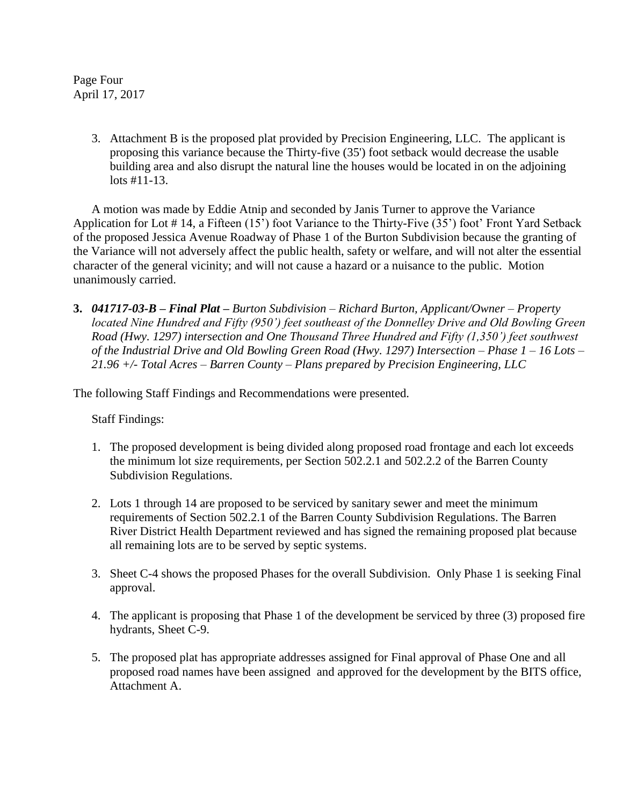Page Four April 17, 2017

> 3. Attachment B is the proposed plat provided by Precision Engineering, LLC. The applicant is proposing this variance because the Thirty-five (35') foot setback would decrease the usable building area and also disrupt the natural line the houses would be located in on the adjoining lots #11-13.

A motion was made by Eddie Atnip and seconded by Janis Turner to approve the Variance Application for Lot # 14, a Fifteen (15') foot Variance to the Thirty-Five (35') foot' Front Yard Setback of the proposed Jessica Avenue Roadway of Phase 1 of the Burton Subdivision because the granting of the Variance will not adversely affect the public health, safety or welfare, and will not alter the essential character of the general vicinity; and will not cause a hazard or a nuisance to the public. Motion unanimously carried.

**3.** *041717-03-B – Final Plat – Burton Subdivision – Richard Burton, Applicant/Owner – Property located Nine Hundred and Fifty (950') feet southeast of the Donnelley Drive and Old Bowling Green Road (Hwy. 1297) intersection and One Thousand Three Hundred and Fifty (1,350') feet southwest of the Industrial Drive and Old Bowling Green Road (Hwy. 1297) Intersection – Phase 1 – 16 Lots – 21.96 +/- Total Acres – Barren County – Plans prepared by Precision Engineering, LLC*

The following Staff Findings and Recommendations were presented.

Staff Findings:

- 1. The proposed development is being divided along proposed road frontage and each lot exceeds the minimum lot size requirements, per Section 502.2.1 and 502.2.2 of the Barren County Subdivision Regulations.
- 2. Lots 1 through 14 are proposed to be serviced by sanitary sewer and meet the minimum requirements of Section 502.2.1 of the Barren County Subdivision Regulations. The Barren River District Health Department reviewed and has signed the remaining proposed plat because all remaining lots are to be served by septic systems.
- 3. Sheet C-4 shows the proposed Phases for the overall Subdivision. Only Phase 1 is seeking Final approval.
- 4. The applicant is proposing that Phase 1 of the development be serviced by three (3) proposed fire hydrants, Sheet C-9.
- 5. The proposed plat has appropriate addresses assigned for Final approval of Phase One and all proposed road names have been assigned and approved for the development by the BITS office, Attachment A.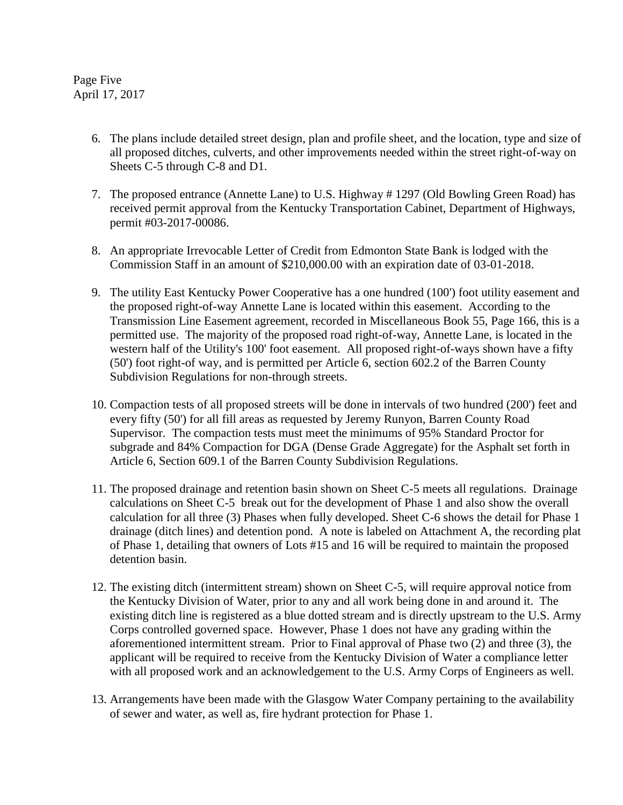Page Five April 17, 2017

- 6. The plans include detailed street design, plan and profile sheet, and the location, type and size of all proposed ditches, culverts, and other improvements needed within the street right-of-way on Sheets C-5 through C-8 and D1.
- 7. The proposed entrance (Annette Lane) to U.S. Highway # 1297 (Old Bowling Green Road) has received permit approval from the Kentucky Transportation Cabinet, Department of Highways, permit #03-2017-00086.
- 8. An appropriate Irrevocable Letter of Credit from Edmonton State Bank is lodged with the Commission Staff in an amount of \$210,000.00 with an expiration date of 03-01-2018.
- 9. The utility East Kentucky Power Cooperative has a one hundred (100') foot utility easement and the proposed right-of-way Annette Lane is located within this easement. According to the Transmission Line Easement agreement, recorded in Miscellaneous Book 55, Page 166, this is a permitted use. The majority of the proposed road right-of-way, Annette Lane, is located in the western half of the Utility's 100' foot easement. All proposed right-of-ways shown have a fifty (50') foot right-of way, and is permitted per Article 6, section 602.2 of the Barren County Subdivision Regulations for non-through streets.
- 10. Compaction tests of all proposed streets will be done in intervals of two hundred (200') feet and every fifty (50') for all fill areas as requested by Jeremy Runyon, Barren County Road Supervisor. The compaction tests must meet the minimums of 95% Standard Proctor for subgrade and 84% Compaction for DGA (Dense Grade Aggregate) for the Asphalt set forth in Article 6, Section 609.1 of the Barren County Subdivision Regulations.
- 11. The proposed drainage and retention basin shown on Sheet C-5 meets all regulations. Drainage calculations on Sheet C-5 break out for the development of Phase 1 and also show the overall calculation for all three (3) Phases when fully developed. Sheet C-6 shows the detail for Phase 1 drainage (ditch lines) and detention pond. A note is labeled on Attachment A, the recording plat of Phase 1, detailing that owners of Lots #15 and 16 will be required to maintain the proposed detention basin.
- 12. The existing ditch (intermittent stream) shown on Sheet C-5, will require approval notice from the Kentucky Division of Water, prior to any and all work being done in and around it. The existing ditch line is registered as a blue dotted stream and is directly upstream to the U.S. Army Corps controlled governed space. However, Phase 1 does not have any grading within the aforementioned intermittent stream. Prior to Final approval of Phase two (2) and three (3), the applicant will be required to receive from the Kentucky Division of Water a compliance letter with all proposed work and an acknowledgement to the U.S. Army Corps of Engineers as well.
- 13. Arrangements have been made with the Glasgow Water Company pertaining to the availability of sewer and water, as well as, fire hydrant protection for Phase 1.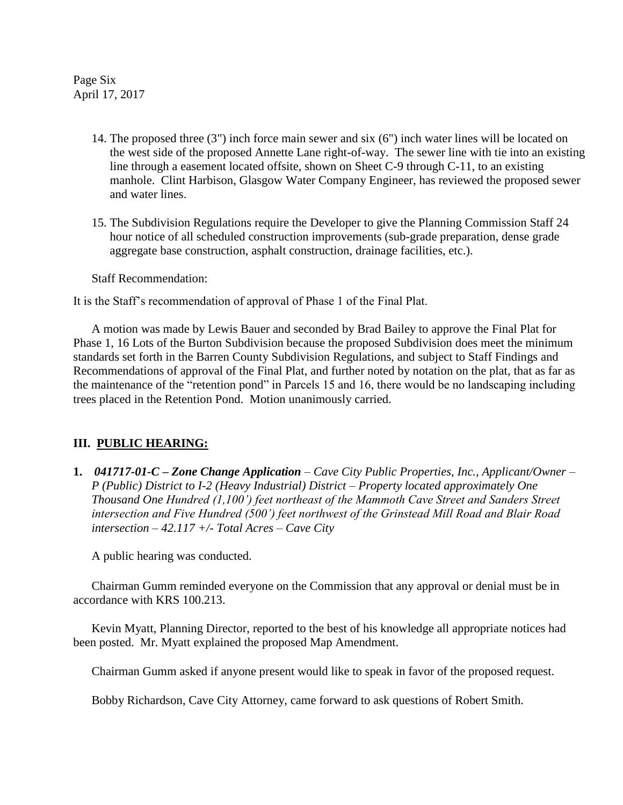Page Six April 17, 2017

- 14. The proposed three (3") inch force main sewer and six (6") inch water lines will be located on the west side of the proposed Annette Lane right-of-way. The sewer line with tie into an existing line through a easement located offsite, shown on Sheet C-9 through C-11, to an existing manhole. Clint Harbison, Glasgow Water Company Engineer, has reviewed the proposed sewer and water lines.
- 15. The Subdivision Regulations require the Developer to give the Planning Commission Staff 24 hour notice of all scheduled construction improvements (sub-grade preparation, dense grade aggregate base construction, asphalt construction, drainage facilities, etc.).

Staff Recommendation:

It is the Staff's recommendation of approval of Phase 1 of the Final Plat.

A motion was made by Lewis Bauer and seconded by Brad Bailey to approve the Final Plat for Phase 1, 16 Lots of the Burton Subdivision because the proposed Subdivision does meet the minimum standards set forth in the Barren County Subdivision Regulations, and subject to Staff Findings and Recommendations of approval of the Final Plat, and further noted by notation on the plat, that as far as the maintenance of the "retention pond" in Parcels 15 and 16, there would be no landscaping including trees placed in the Retention Pond. Motion unanimously carried.

## **III. PUBLIC HEARING:**

**1.** *041717-01-C – Zone Change Application – Cave City Public Properties, Inc., Applicant/Owner – P (Public) District to I-2 (Heavy Industrial) District – Property located approximately One Thousand One Hundred (1,100') feet northeast of the Mammoth Cave Street and Sanders Street intersection and Five Hundred (500') feet northwest of the Grinstead Mill Road and Blair Road intersection – 42.117 +/- Total Acres – Cave City*

A public hearing was conducted.

Chairman Gumm reminded everyone on the Commission that any approval or denial must be in accordance with KRS 100.213.

Kevin Myatt, Planning Director, reported to the best of his knowledge all appropriate notices had been posted. Mr. Myatt explained the proposed Map Amendment.

Chairman Gumm asked if anyone present would like to speak in favor of the proposed request.

Bobby Richardson, Cave City Attorney, came forward to ask questions of Robert Smith.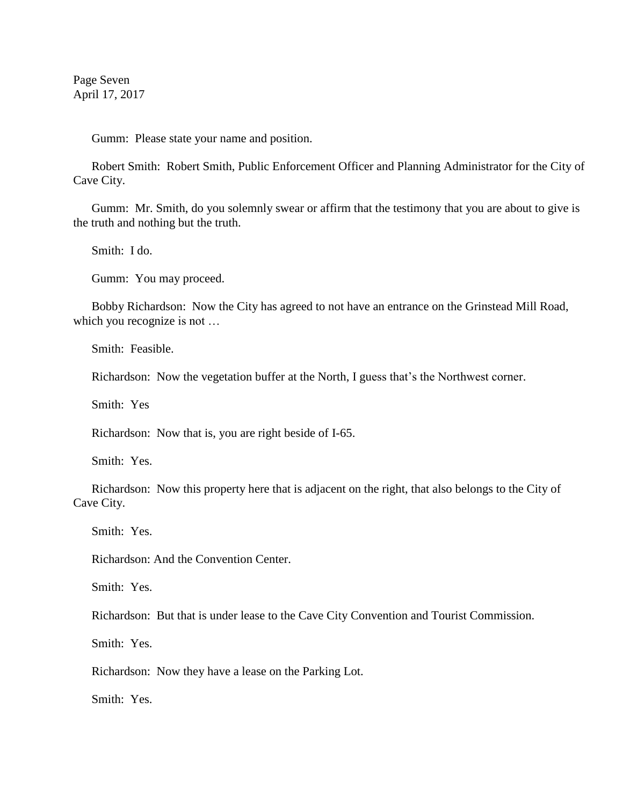Page Seven April 17, 2017

Gumm: Please state your name and position.

Robert Smith: Robert Smith, Public Enforcement Officer and Planning Administrator for the City of Cave City.

Gumm: Mr. Smith, do you solemnly swear or affirm that the testimony that you are about to give is the truth and nothing but the truth.

Smith: I do.

Gumm: You may proceed.

Bobby Richardson: Now the City has agreed to not have an entrance on the Grinstead Mill Road, which you recognize is not …

Smith: Feasible.

Richardson: Now the vegetation buffer at the North, I guess that's the Northwest corner.

Smith: Yes

Richardson: Now that is, you are right beside of I-65.

Smith: Yes.

Richardson: Now this property here that is adjacent on the right, that also belongs to the City of Cave City.

Smith: Yes.

Richardson: And the Convention Center.

Smith: Yes.

Richardson: But that is under lease to the Cave City Convention and Tourist Commission.

Smith: Yes.

Richardson: Now they have a lease on the Parking Lot.

Smith: Yes.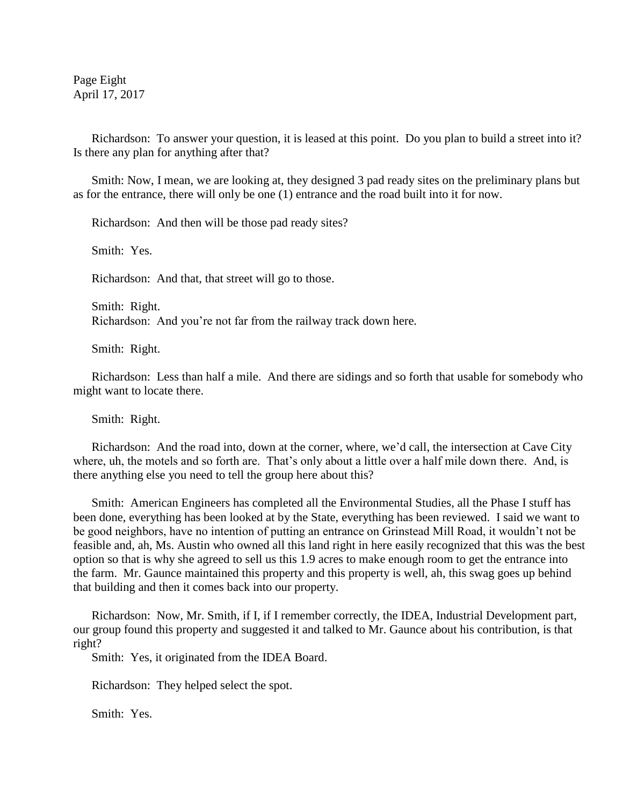Page Eight April 17, 2017

Richardson: To answer your question, it is leased at this point. Do you plan to build a street into it? Is there any plan for anything after that?

Smith: Now, I mean, we are looking at, they designed 3 pad ready sites on the preliminary plans but as for the entrance, there will only be one (1) entrance and the road built into it for now.

Richardson: And then will be those pad ready sites?

Smith: Yes.

Richardson: And that, that street will go to those.

Smith: Right. Richardson: And you're not far from the railway track down here.

Smith: Right.

Richardson: Less than half a mile. And there are sidings and so forth that usable for somebody who might want to locate there.

Smith: Right.

Richardson: And the road into, down at the corner, where, we'd call, the intersection at Cave City where, uh, the motels and so forth are. That's only about a little over a half mile down there. And, is there anything else you need to tell the group here about this?

Smith: American Engineers has completed all the Environmental Studies, all the Phase I stuff has been done, everything has been looked at by the State, everything has been reviewed. I said we want to be good neighbors, have no intention of putting an entrance on Grinstead Mill Road, it wouldn't not be feasible and, ah, Ms. Austin who owned all this land right in here easily recognized that this was the best option so that is why she agreed to sell us this 1.9 acres to make enough room to get the entrance into the farm. Mr. Gaunce maintained this property and this property is well, ah, this swag goes up behind that building and then it comes back into our property.

Richardson: Now, Mr. Smith, if I, if I remember correctly, the IDEA, Industrial Development part, our group found this property and suggested it and talked to Mr. Gaunce about his contribution, is that right?

Smith: Yes, it originated from the IDEA Board.

Richardson: They helped select the spot.

Smith: Yes.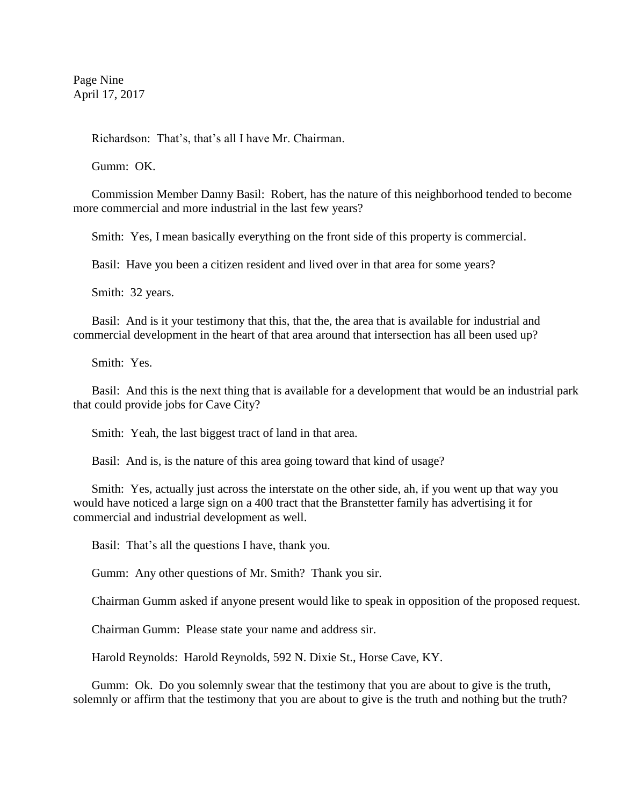Page Nine April 17, 2017

Richardson: That's, that's all I have Mr. Chairman.

Gumm: OK.

Commission Member Danny Basil: Robert, has the nature of this neighborhood tended to become more commercial and more industrial in the last few years?

Smith: Yes, I mean basically everything on the front side of this property is commercial.

Basil: Have you been a citizen resident and lived over in that area for some years?

Smith: 32 years.

Basil: And is it your testimony that this, that the, the area that is available for industrial and commercial development in the heart of that area around that intersection has all been used up?

Smith: Yes.

Basil: And this is the next thing that is available for a development that would be an industrial park that could provide jobs for Cave City?

Smith: Yeah, the last biggest tract of land in that area.

Basil: And is, is the nature of this area going toward that kind of usage?

Smith: Yes, actually just across the interstate on the other side, ah, if you went up that way you would have noticed a large sign on a 400 tract that the Branstetter family has advertising it for commercial and industrial development as well.

Basil: That's all the questions I have, thank you.

Gumm: Any other questions of Mr. Smith? Thank you sir.

Chairman Gumm asked if anyone present would like to speak in opposition of the proposed request.

Chairman Gumm: Please state your name and address sir.

Harold Reynolds: Harold Reynolds, 592 N. Dixie St., Horse Cave, KY.

Gumm: Ok. Do you solemnly swear that the testimony that you are about to give is the truth, solemnly or affirm that the testimony that you are about to give is the truth and nothing but the truth?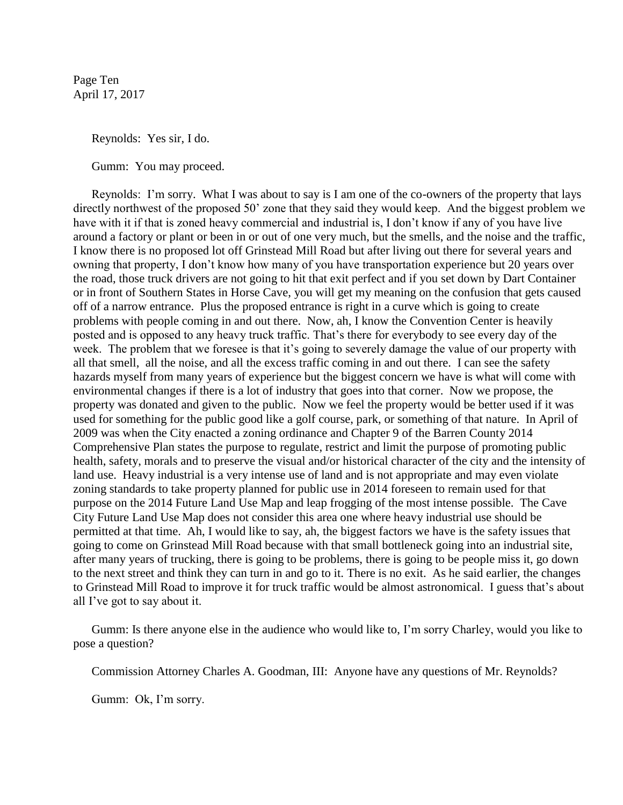Page Ten April 17, 2017

Reynolds: Yes sir, I do.

Gumm: You may proceed.

Reynolds: I'm sorry. What I was about to say is I am one of the co-owners of the property that lays directly northwest of the proposed 50' zone that they said they would keep. And the biggest problem we have with it if that is zoned heavy commercial and industrial is, I don't know if any of you have live around a factory or plant or been in or out of one very much, but the smells, and the noise and the traffic, I know there is no proposed lot off Grinstead Mill Road but after living out there for several years and owning that property, I don't know how many of you have transportation experience but 20 years over the road, those truck drivers are not going to hit that exit perfect and if you set down by Dart Container or in front of Southern States in Horse Cave, you will get my meaning on the confusion that gets caused off of a narrow entrance. Plus the proposed entrance is right in a curve which is going to create problems with people coming in and out there. Now, ah, I know the Convention Center is heavily posted and is opposed to any heavy truck traffic. That's there for everybody to see every day of the week. The problem that we foresee is that it's going to severely damage the value of our property with all that smell, all the noise, and all the excess traffic coming in and out there. I can see the safety hazards myself from many years of experience but the biggest concern we have is what will come with environmental changes if there is a lot of industry that goes into that corner. Now we propose, the property was donated and given to the public. Now we feel the property would be better used if it was used for something for the public good like a golf course, park, or something of that nature. In April of 2009 was when the City enacted a zoning ordinance and Chapter 9 of the Barren County 2014 Comprehensive Plan states the purpose to regulate, restrict and limit the purpose of promoting public health, safety, morals and to preserve the visual and/or historical character of the city and the intensity of land use. Heavy industrial is a very intense use of land and is not appropriate and may even violate zoning standards to take property planned for public use in 2014 foreseen to remain used for that purpose on the 2014 Future Land Use Map and leap frogging of the most intense possible. The Cave City Future Land Use Map does not consider this area one where heavy industrial use should be permitted at that time. Ah, I would like to say, ah, the biggest factors we have is the safety issues that going to come on Grinstead Mill Road because with that small bottleneck going into an industrial site, after many years of trucking, there is going to be problems, there is going to be people miss it, go down to the next street and think they can turn in and go to it. There is no exit. As he said earlier, the changes to Grinstead Mill Road to improve it for truck traffic would be almost astronomical. I guess that's about all I've got to say about it.

Gumm: Is there anyone else in the audience who would like to, I'm sorry Charley, would you like to pose a question?

Commission Attorney Charles A. Goodman, III: Anyone have any questions of Mr. Reynolds?

Gumm: Ok, I'm sorry.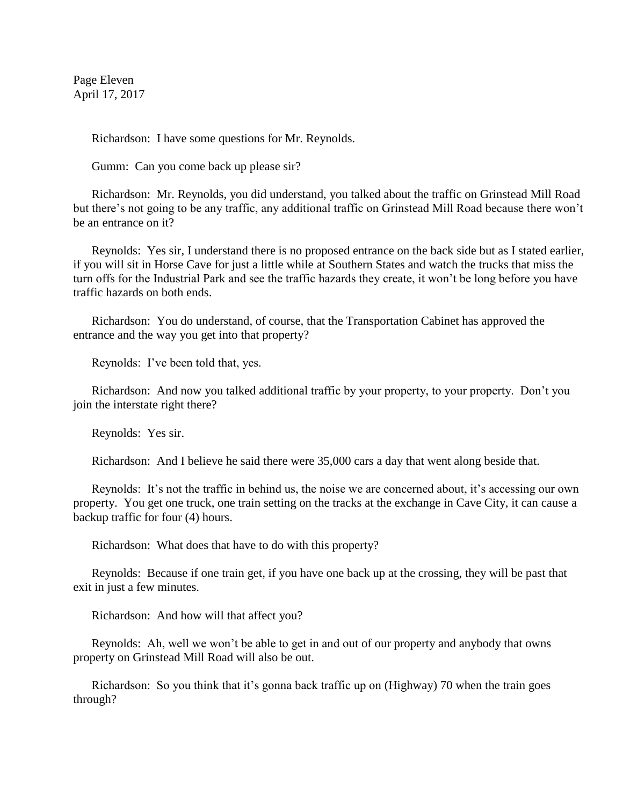Page Eleven April 17, 2017

Richardson: I have some questions for Mr. Reynolds.

Gumm: Can you come back up please sir?

Richardson: Mr. Reynolds, you did understand, you talked about the traffic on Grinstead Mill Road but there's not going to be any traffic, any additional traffic on Grinstead Mill Road because there won't be an entrance on it?

Reynolds: Yes sir, I understand there is no proposed entrance on the back side but as I stated earlier, if you will sit in Horse Cave for just a little while at Southern States and watch the trucks that miss the turn offs for the Industrial Park and see the traffic hazards they create, it won't be long before you have traffic hazards on both ends.

Richardson: You do understand, of course, that the Transportation Cabinet has approved the entrance and the way you get into that property?

Reynolds: I've been told that, yes.

Richardson: And now you talked additional traffic by your property, to your property. Don't you join the interstate right there?

Reynolds: Yes sir.

Richardson: And I believe he said there were 35,000 cars a day that went along beside that.

Reynolds: It's not the traffic in behind us, the noise we are concerned about, it's accessing our own property. You get one truck, one train setting on the tracks at the exchange in Cave City, it can cause a backup traffic for four (4) hours.

Richardson: What does that have to do with this property?

Reynolds: Because if one train get, if you have one back up at the crossing, they will be past that exit in just a few minutes.

Richardson: And how will that affect you?

Reynolds: Ah, well we won't be able to get in and out of our property and anybody that owns property on Grinstead Mill Road will also be out.

Richardson: So you think that it's gonna back traffic up on (Highway) 70 when the train goes through?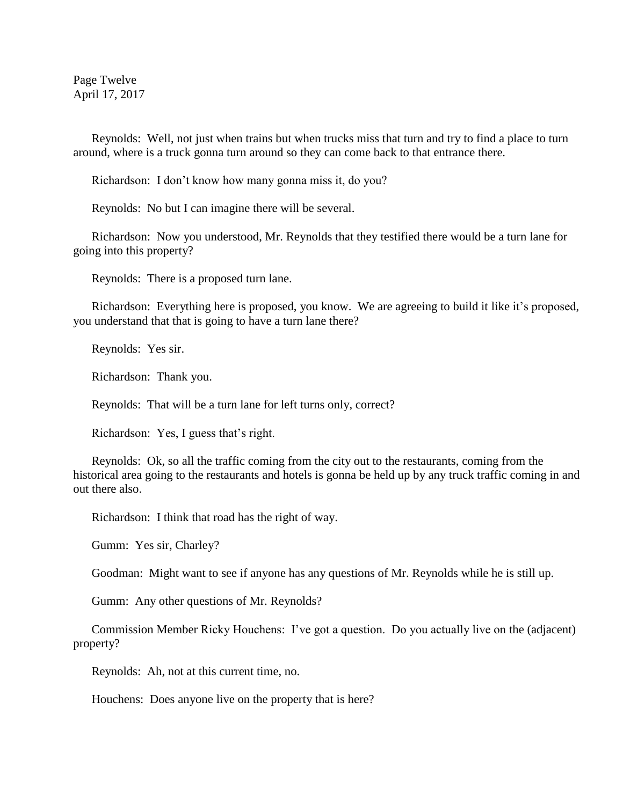Page Twelve April 17, 2017

Reynolds: Well, not just when trains but when trucks miss that turn and try to find a place to turn around, where is a truck gonna turn around so they can come back to that entrance there.

Richardson: I don't know how many gonna miss it, do you?

Reynolds: No but I can imagine there will be several.

Richardson: Now you understood, Mr. Reynolds that they testified there would be a turn lane for going into this property?

Reynolds: There is a proposed turn lane.

Richardson: Everything here is proposed, you know. We are agreeing to build it like it's proposed, you understand that that is going to have a turn lane there?

Reynolds: Yes sir.

Richardson: Thank you.

Reynolds: That will be a turn lane for left turns only, correct?

Richardson: Yes, I guess that's right.

Reynolds: Ok, so all the traffic coming from the city out to the restaurants, coming from the historical area going to the restaurants and hotels is gonna be held up by any truck traffic coming in and out there also.

Richardson: I think that road has the right of way.

Gumm: Yes sir, Charley?

Goodman: Might want to see if anyone has any questions of Mr. Reynolds while he is still up.

Gumm: Any other questions of Mr. Reynolds?

Commission Member Ricky Houchens: I've got a question. Do you actually live on the (adjacent) property?

Reynolds: Ah, not at this current time, no.

Houchens: Does anyone live on the property that is here?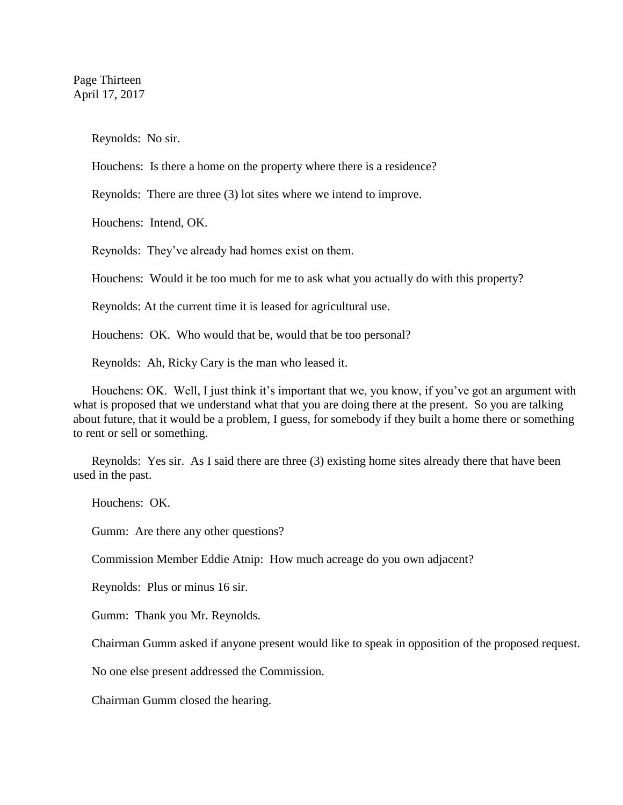Reynolds: No sir.

Houchens: Is there a home on the property where there is a residence?

Reynolds: There are three (3) lot sites where we intend to improve.

Houchens: Intend, OK.

Reynolds: They've already had homes exist on them.

Houchens: Would it be too much for me to ask what you actually do with this property?

Reynolds: At the current time it is leased for agricultural use.

Houchens: OK. Who would that be, would that be too personal?

Reynolds: Ah, Ricky Cary is the man who leased it.

Houchens: OK. Well, I just think it's important that we, you know, if you've got an argument with what is proposed that we understand what that you are doing there at the present. So you are talking about future, that it would be a problem, I guess, for somebody if they built a home there or something to rent or sell or something.

Reynolds: Yes sir. As I said there are three (3) existing home sites already there that have been used in the past.

Houchens: OK.

Gumm: Are there any other questions?

Commission Member Eddie Atnip: How much acreage do you own adjacent?

Reynolds: Plus or minus 16 sir.

Gumm: Thank you Mr. Reynolds.

Chairman Gumm asked if anyone present would like to speak in opposition of the proposed request.

No one else present addressed the Commission.

Chairman Gumm closed the hearing.